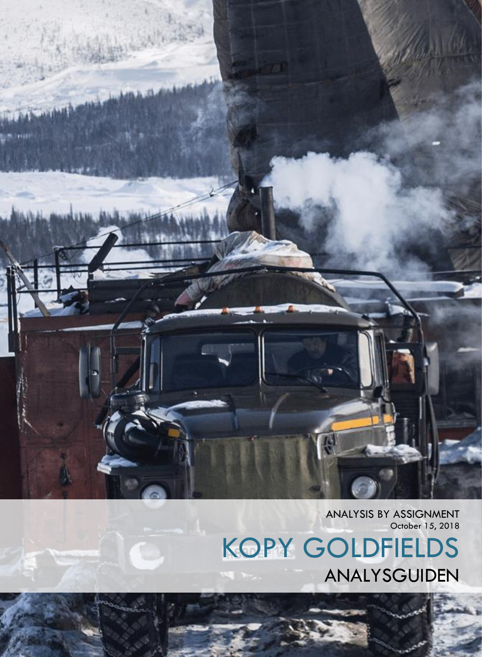ANALYSIS BY ASSIGNMENT October 15, 2018

KOPY GOLDFIELDS ANALYSGUIDEN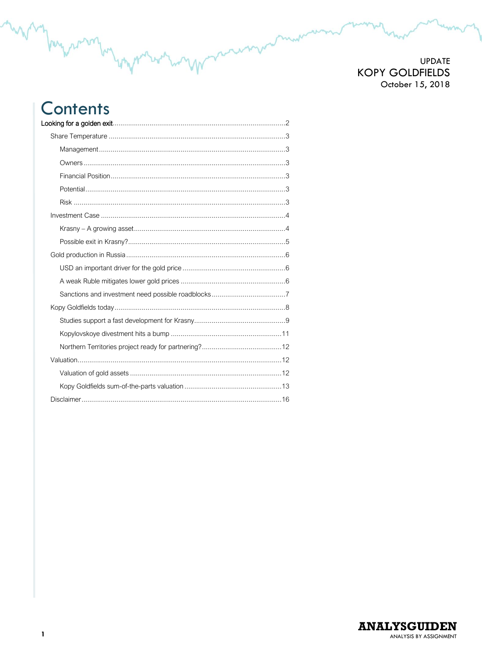## **Contents** Looking for a golden exit

 $\mathbf{1}$ 

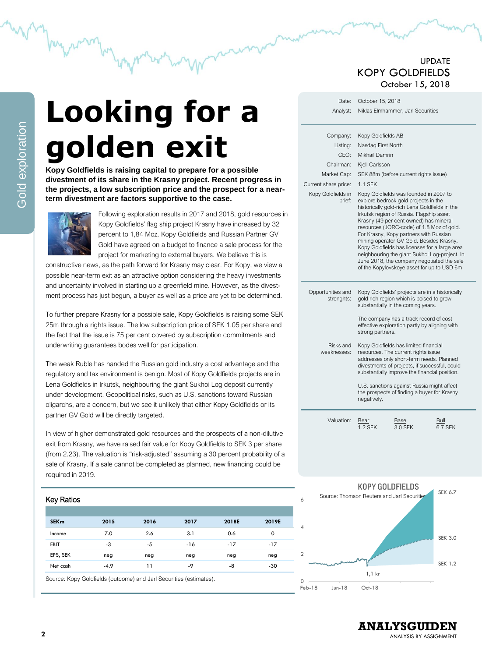# <span id="page-2-0"></span>**Looking for a golden exit**

**Kopy Goldfields is raising capital to prepare for a possible divestment of its share in the Krasny project. Recent progress in the projects, a low subscription price and the prospect for a nearterm divestment are factors supportive to the case.** 



Following exploration results in 2017 and 2018, gold resources in Kopy Goldfields' flag ship project Krasny have increased by 32 percent to 1,84 Moz. Kopy Goldfields and Russian Partner GV Gold have agreed on a budget to finance a sale process for the project for marketing to external buyers. We believe this is

constructive news, as the path forward for Krasny may clear. For Kopy, we view a possible near-term exit as an attractive option considering the heavy investments and uncertainty involved in starting up a greenfield mine. However, as the divestment process has just begun, a buyer as well as a price are yet to be determined.

To further prepare Krasny for a possible sale, Kopy Goldfields is raising some SEK 25m through a rights issue. The low subscription price of SEK 1.05 per share and the fact that the issue is 75 per cent covered by subscription commitments and underwriting guarantees bodes well for participation.

The weak Ruble has handed the Russian gold industry a cost advantage and the regulatory and tax environment is benign. Most of Kopy Goldfields projects are in Lena Goldfields in Irkutsk, neighbouring the giant Sukhoi Log deposit currently under development. Geopolitical risks, such as U.S. sanctions toward Russian oligarchs, are a concern, but we see it unlikely that either Kopy Goldfields or its partner GV Gold will be directly targeted.

In view of higher demonstrated gold resources and the prospects of a non-dilutive exit from Krasny, we have raised fair value for Kopy Goldfields to SEK 3 per share (from 2.23). The valuation is "risk-adjusted" assuming a 30 percent probability of a sale of Krasny. If a sale cannot be completed as planned, new financing could be required in 2019.

#### Key Ratios

| <b>SEKm</b> | 2015   | 2016 | 2017  | 2018E | 2019E |
|-------------|--------|------|-------|-------|-------|
| Income      | 7.0    | 2.6  | 3.1   | 0.6   | 0     |
| <b>EBIT</b> | -3     | -5   | $-16$ | $-17$ | $-17$ |
| EPS, SEK    | neg    | neg  | neg   | neg   | neg   |
| Net cash    | $-4.9$ | 11   | -9    | -8    | $-30$ |

Source: Kopy Goldfields (outcome) and Jarl Securities (estimates).

## UPDATE KOPY GOLDFIELDS October 15, 2018

| Date:<br>Analyst:                                                                                                | October 15, 2018                                                                               | Niklas Elmhammer, Jarl Securities                                                                                                                                                                                                                                                                                                                                                                                                                                                                                                                                                                |                 |
|------------------------------------------------------------------------------------------------------------------|------------------------------------------------------------------------------------------------|--------------------------------------------------------------------------------------------------------------------------------------------------------------------------------------------------------------------------------------------------------------------------------------------------------------------------------------------------------------------------------------------------------------------------------------------------------------------------------------------------------------------------------------------------------------------------------------------------|-----------------|
| Company:<br>Listing:<br>CEO:<br>Chairman:<br>Market Cap:<br>Current share price:<br>Kopy Goldfields in<br>brief: | Kopy Goldfields AB<br>Nasdag First North<br>Mikhail Damrin<br>Kiell Carlsson<br><b>1.1 SEK</b> | SEK 88m (before current rights issue)<br>Kopy Goldfields was founded in 2007 to<br>explore bedrock gold projects in the<br>historically gold-rich Lena Goldfields in the<br>Irkutsk region of Russia. Flagship asset<br>Krasny (49 per cent owned) has mineral<br>resources (JORC-code) of 1.8 Moz of gold.<br>For Krasny, Kopy partners with Russian<br>mining operator GV Gold. Besides Krasny,<br>Kopy Goldfields has licenses for a large area<br>neighbouring the giant Sukhoi Log-project. In<br>June 2018, the company negotiated the sale<br>of the Kopylovskoye asset for up to USD 6m. |                 |
| Opportunities and<br>strenghts:<br>Risks and<br>weaknesses:                                                      | strong partners.<br>negatively.                                                                | Kopy Goldfields' projects are in a historically<br>gold rich region which is poised to grow<br>substantially in the coming years.<br>The company has a track record of cost<br>effective exploration partly by aligning with<br>Kopy Goldfields has limited financial<br>resources. The current rights issue<br>addresses only short-term needs. Planned<br>divestments of projects, if successful, could<br>substantially improve the financial position.<br>U.S. sanctions against Russia might affect<br>the prospects of finding a buyer for Krasny                                          |                 |
| Valuation:                                                                                                       | Bear<br><b>1.2 SEK</b>                                                                         | Base<br>3.0 SEK                                                                                                                                                                                                                                                                                                                                                                                                                                                                                                                                                                                  | Bull<br>6.7 SEK |



**ANALYSGUIDEN**

ANALYSIS BY ASSIGNMENT

Gold exploration

Gold exploration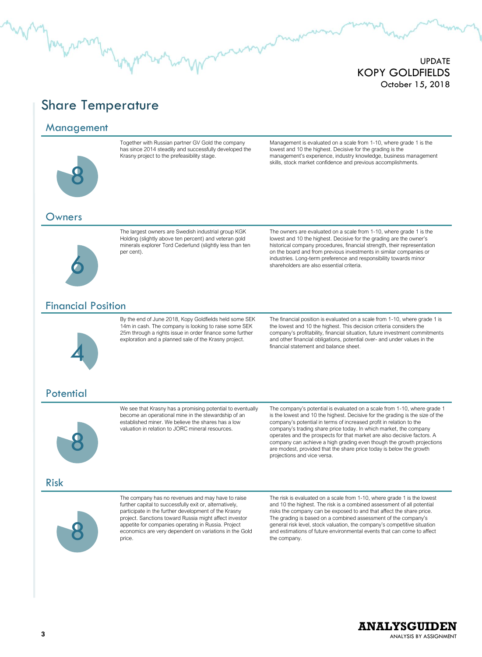# <span id="page-3-0"></span>Share Temperature

#### <span id="page-3-1"></span>Management



Together with Russian partner GV Gold the company has since 2014 steadily and successfully developed the Krasny project to the prefeasibility stage.

Management is evaluated on a scale from 1-10, where grade 1 is the lowest and 10 the highest. Decisive for the grading is the management's experience, industry knowledge, business management skills, stock market confidence and previous accomplishments.

#### <span id="page-3-2"></span>Owners



The largest owners are Swedish industrial group KGK Holding (slightly above ten percent) and veteran gold minerals explorer Tord Cederlund (slightly less than ten per cent).

The owners are evaluated on a scale from 1-10, where grade 1 is the lowest and 10 the highest. Decisive for the grading are the owner's historical company procedures, financial strength, their representation on the board and from previous investments in similar companies or industries. Long-term preference and responsibility towards minor shareholders are also essential criteria.

### <span id="page-3-3"></span>Financial Position



By the end of June 2018, Kopy Goldfields held some SEK 14m in cash. The company is looking to raise some SEK 25m through a rights issue in order finance some further exploration and a planned sale of the Krasny project.

The financial position is evaluated on a scale from 1-10, where grade 1 is the lowest and 10 the highest. This decision criteria considers the company's profitability, financial situation, future investment commitments and other financial obligations, potential over- and under values in the financial statement and balance sheet.

## <span id="page-3-4"></span>**Potential**



We see that Krasny has a promising potential to eventually become an operational mine in the stewardship of an established miner. We believe the shares has a low valuation in relation to JORC mineral resources.

The company's potential is evaluated on a scale from 1-10, where grade 1 is the lowest and 10 the highest. Decisive for the grading is the size of the company's potential in terms of increased profit in relation to the company's trading share price today. In which market, the company operates and the prospects for that market are also decisive factors. A company can achieve a high grading even though the growth projections are modest, provided that the share price today is below the growth projections and vice versa.

#### <span id="page-3-5"></span>Risk



The company has no revenues and may have to raise further capital to successfully exit or, alternatively, participate in the further development of the Krasny project. Sanctions toward Russia might affect investor appetite for companies operating in Russia. Project economics are very dependent on variations in the Gold price.

The risk is evaluated on a scale from 1-10, where grade 1 is the lowest and 10 the highest. The risk is a combined assessment of all potential risks the company can be exposed to and that affect the share price. The grading is based on a combined assessment of the company's general risk level, stock valuation, the company's competitive situation and estimations of future environmental events that can come to affect the company.

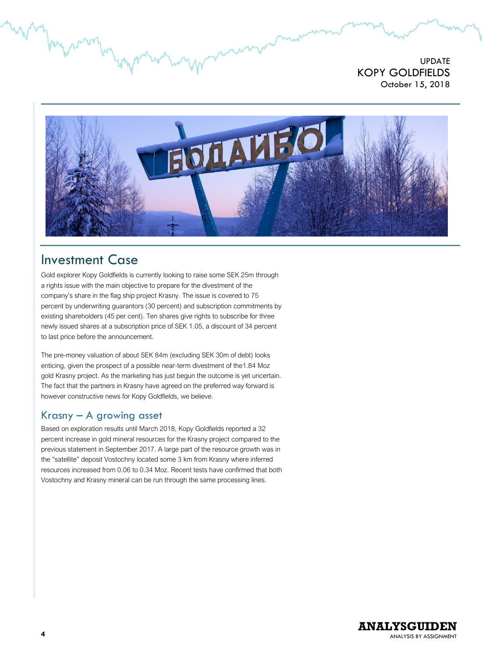

# <span id="page-4-0"></span>Investment Case

Gold explorer Kopy Goldfields is currently looking to raise some SEK 25m through a rights issue with the main objective to prepare for the divestment of the company's share in the flag ship project Krasny. The issue is covered to 75 percent by underwriting guarantors (30 percent) and subscription commitments by existing shareholders (45 per cent). Ten shares give rights to subscribe for three newly issued shares at a subscription price of SEK 1.05, a discount of 34 percent to last price before the announcement.

The pre-money valuation of about SEK 84m (excluding SEK 30m of debt) looks enticing, given the prospect of a possible near-term divestment of the1.84 Moz gold Krasny project. As the marketing has just begun the outcome is yet uncertain. The fact that the partners in Krasny have agreed on the preferred way forward is however constructive news for Kopy Goldfields, we believe.

## <span id="page-4-1"></span>Krasny – A growing asset

Based on exploration results until March 2018, Kopy Goldfields reported a 32 percent increase in gold mineral resources for the Krasny project compared to the previous statement in September 2017. A large part of the resource growth was in the "satellite" deposit Vostochny located some 3 km from Krasny where inferred resources increased from 0.06 to 0.34 Moz. Recent tests have confirmed that both Vostochny and Krasny mineral can be run through the same processing lines.

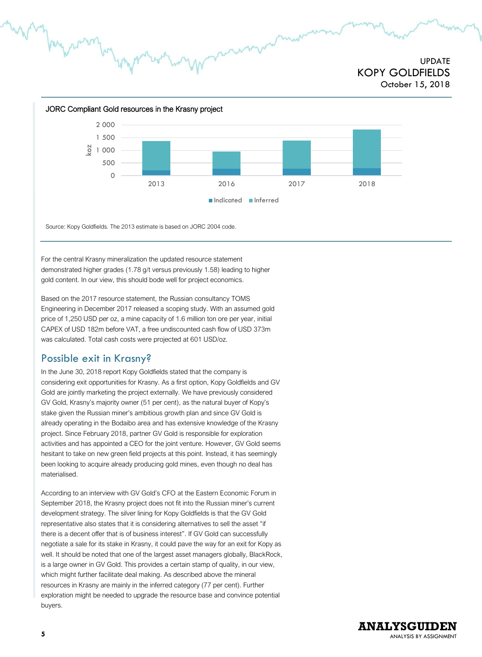

Source: Kopy Goldfields. The 2013 estimate is based on JORC 2004 code.

For the central Krasny mineralization the updated resource statement demonstrated higher grades (1.78 g/t versus previously 1.58) leading to higher gold content. In our view, this should bode well for project economics.

Based on the 2017 resource statement, the Russian consultancy TOMS Engineering in December 2017 released a scoping study. With an assumed gold price of 1,250 USD per oz, a mine capacity of 1.6 million ton ore per year, initial CAPEX of USD 182m before VAT, a free undiscounted cash flow of USD 373m was calculated. Total cash costs were projected at 601 USD/oz.

## <span id="page-5-0"></span>Possible exit in Krasny?

In the June 30, 2018 report Kopy Goldfields stated that the company is considering exit opportunities for Krasny. As a first option, Kopy Goldfields and GV Gold are jointly marketing the project externally. We have previously considered GV Gold, Krasny's majority owner (51 per cent), as the natural buyer of Kopy's stake given the Russian miner's ambitious growth plan and since GV Gold is already operating in the Bodaibo area and has extensive knowledge of the Krasny project. Since February 2018, partner GV Gold is responsible for exploration activities and has appointed a CEO for the joint venture. However, GV Gold seems hesitant to take on new green field projects at this point. Instead, it has seemingly been looking to acquire already producing gold mines, even though no deal has materialised.

According to an interview with GV Gold's CFO at the Eastern Economic Forum in September 2018, the Krasny project does not fit into the Russian miner's current development strategy. The silver lining for Kopy Goldfields is that the GV Gold representative also states that it is considering alternatives to sell the asset "if there is a decent offer that is of business interest". If GV Gold can successfully negotiate a sale for its stake in Krasny, it could pave the way for an exit for Kopy as well. It should be noted that one of the largest asset managers globally, BlackRock, is a large owner in GV Gold. This provides a certain stamp of quality, in our view, which might further facilitate deal making. As described above the mineral resources in Krasny are mainly in the inferred category (77 per cent). Further exploration might be needed to upgrade the resource base and convince potential buyers.

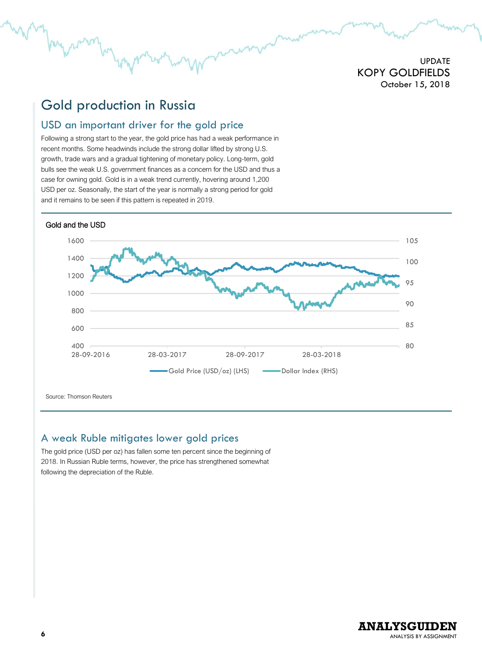# <span id="page-6-0"></span>Gold production in Russia

## <span id="page-6-1"></span>USD an important driver for the gold price

Following a strong start to the year, the gold price has had a weak performance in recent months. Some headwinds include the strong dollar lifted by strong U.S. growth, trade wars and a gradual tightening of monetary policy. Long-term, gold bulls see the weak U.S. government finances as a concern for the USD and thus a case for owning gold. Gold is in a weak trend currently, hovering around 1,200 USD per oz. Seasonally, the start of the year is normally a strong period for gold and it remains to be seen if this pattern is repeated in 2019.



Source: Thomson Reuters

## <span id="page-6-2"></span>A weak Ruble mitigates lower gold prices

The gold price (USD per oz) has fallen some ten percent since the beginning of 2018. In Russian Ruble terms, however, the price has strengthened somewhat following the depreciation of the Ruble.

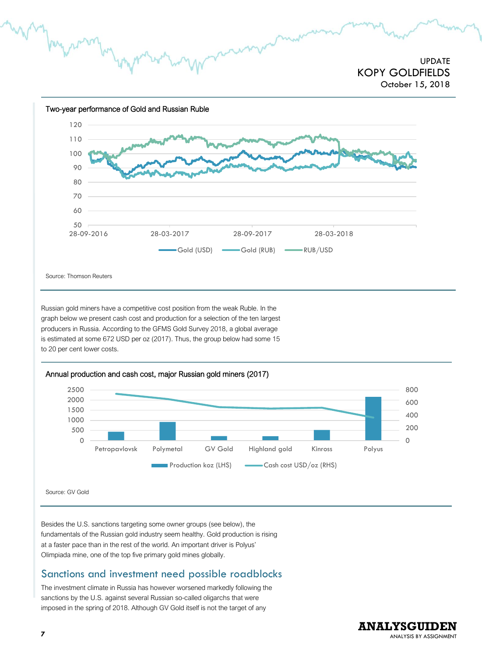

Russian gold miners have a competitive cost position from the weak Ruble. In the graph below we present cash cost and production for a selection of the ten largest producers in Russia. According to the GFMS Gold Survey 2018, a global average is estimated at some 672 USD per oz (2017). Thus, the group below had some 15 to 20 per cent lower costs.



#### Annual production and cash cost, major Russian gold miners (2017)

Source: GV Gold

Besides the U.S. sanctions targeting some owner groups (see below), the fundamentals of the Russian gold industry seem healthy. Gold production is rising at a faster pace than in the rest of the world. An important driver is Polyus' Olimpiada mine, one of the top five primary gold mines globally.

## <span id="page-7-0"></span>Sanctions and investment need possible roadblocks

The investment climate in Russia has however worsened markedly following the sanctions by the U.S. against several Russian so-called oligarchs that were imposed in the spring of 2018. Although GV Gold itself is not the target of any

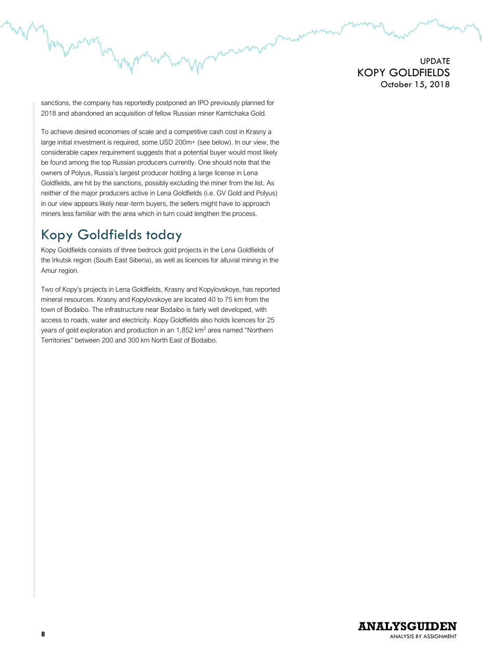sanctions, the company has reportedly postponed an IPO previously planned for 2018 and abandoned an acquisition of fellow Russian miner Kamtchaka Gold.

To achieve desired economies of scale and a competitive cash cost in Krasny a large initial investment is required, some USD 200m+ (see below). In our view, the considerable capex requirement suggests that a potential buyer would most likely be found among the top Russian producers currently. One should note that the owners of Polyus, Russia's largest producer holding a large license in Lena Goldfields, are hit by the sanctions, possibly excluding the miner from the list. As neither of the major producers active in Lena Goldfields (i.e. GV Gold and Polyus) in our view appears likely near-term buyers, the sellers might have to approach miners less familiar with the area which in turn could lengthen the process.

# <span id="page-8-0"></span>Kopy Goldfields today

My 1

Kopy Goldfields consists of three bedrock gold projects in the Lena Goldfields of the Irkutsk region (South East Siberia), as well as licences for alluvial mining in the Amur region.

Two of Kopy's projects in Lena Goldfields, Krasny and Kopylovskoye, has reported mineral resources. Krasny and Kopylovskoye are located 40 to 75 km from the town of Bodaibo. The infrastructure near Bodaibo is fairly well developed, with access to roads, water and electricity. Kopy Goldfields also holds licences for 25 years of gold exploration and production in an 1,852 km<sup>2</sup> area named "Northern Territories" between 200 and 300 km North East of Bodaibo.

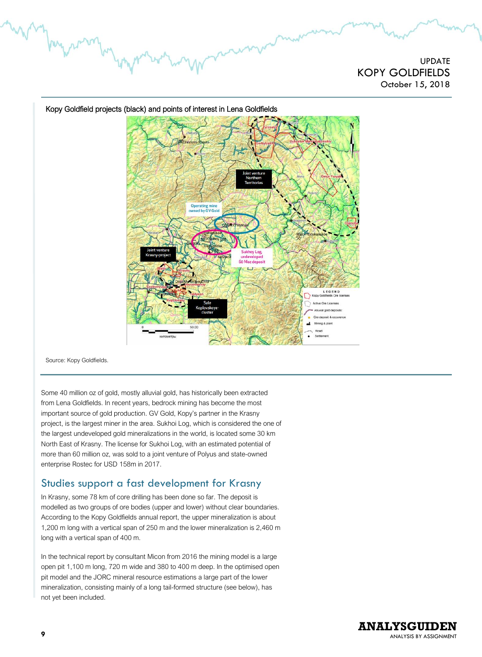

Kopy Goldfield projects (black) and points of interest in Lena Goldfields

Source: Kopy Goldfields.

Some 40 million oz of gold, mostly alluvial gold, has historically been extracted from Lena Goldfields. In recent years, bedrock mining has become the most important source of gold production. GV Gold, Kopy's partner in the Krasny project, is the largest miner in the area. Sukhoi Log, which is considered the one of the largest undeveloped gold mineralizations in the world, is located some 30 km North East of Krasny. The license for Sukhoi Log, with an estimated potential of more than 60 million oz, was sold to a joint venture of Polyus and state-owned enterprise Rostec for USD 158m in 2017.

## <span id="page-9-0"></span>Studies support a fast development for Krasny

In Krasny, some 78 km of core drilling has been done so far. The deposit is modelled as two groups of ore bodies (upper and lower) without clear boundaries. According to the Kopy Goldfields annual report, the upper mineralization is about 1,200 m long with a vertical span of 250 m and the lower mineralization is 2,460 m long with a vertical span of 400 m.

In the technical report by consultant Micon from 2016 the mining model is a large open pit 1,100 m long, 720 m wide and 380 to 400 m deep. In the optimised open pit model and the JORC mineral resource estimations a large part of the lower mineralization, consisting mainly of a long tail-formed structure (see below), has not yet been included.

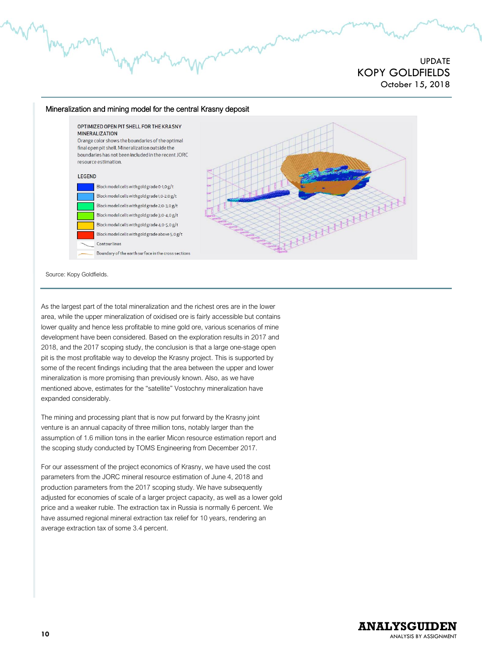

Source: Kopy Goldfields.

As the largest part of the total mineralization and the richest ores are in the lower area, while the upper mineralization of oxidised ore is fairly accessible but contains lower quality and hence less profitable to mine gold ore, various scenarios of mine development have been considered. Based on the exploration results in 2017 and 2018, and the 2017 scoping study, the conclusion is that a large one-stage open pit is the most profitable way to develop the Krasny project. This is supported by some of the recent findings including that the area between the upper and lower mineralization is more promising than previously known. Also, as we have mentioned above, estimates for the "satellite" Vostochny mineralization have expanded considerably.

The mining and processing plant that is now put forward by the Krasny joint venture is an annual capacity of three million tons, notably larger than the assumption of 1.6 million tons in the earlier Micon resource estimation report and the scoping study conducted by TOMS Engineering from December 2017.

For our assessment of the project economics of Krasny, we have used the cost parameters from the JORC mineral resource estimation of June 4, 2018 and production parameters from the 2017 scoping study. We have subsequently adjusted for economies of scale of a larger project capacity, as well as a lower gold price and a weaker ruble. The extraction tax in Russia is normally 6 percent. We have assumed regional mineral extraction tax relief for 10 years, rendering an average extraction tax of some 3.4 percent.

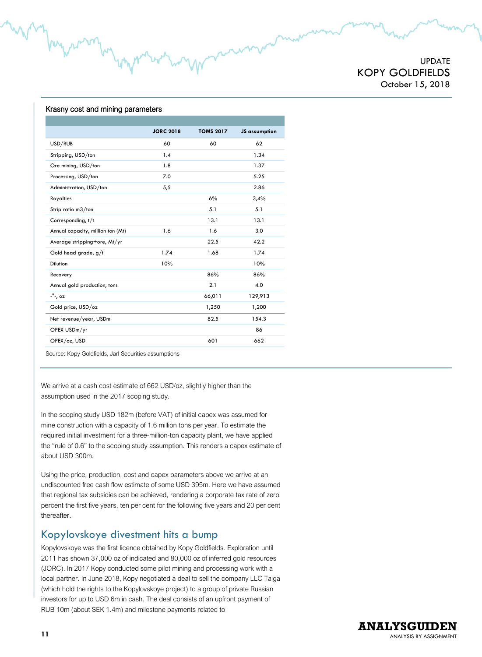UPDATE KOPY GOLDFIELDS October 15, 2018

#### Krasny cost and mining parameters

My r

|                                   | <b>JORC 2018</b> | <b>TOMS 2017</b> | JS assumption |
|-----------------------------------|------------------|------------------|---------------|
| USD/RUB                           | 60               | 60               | 62            |
| Stripping, USD/ton                | 1.4              |                  | 1.34          |
| Ore mining, USD/ton               | 1.8              |                  | 1.37          |
| Processing, USD/ton               | 7.0              |                  | 5.25          |
| Administration, USD/ton           | 5,5              |                  | 2.86          |
| Royalties                         |                  | 6%               | 3,4%          |
| Strip ratio m3/ton                |                  | 5.1              | 5.1           |
| Corresponding, t/t                |                  | 13.1             | 13.1          |
| Annual capacity, million ton (Mt) | 1.6              | 1.6              | 3.0           |
| Average stripping+ore, Mt/yr      |                  | 22.5             | 42.2          |
| Gold head grade, g/t              | 1.74             | 1.68             | 1.74          |
| <b>Dilution</b>                   | 10%              |                  | 10%           |
| Recovery                          |                  | 86%              | 86%           |
| Annual gold production, tons      |                  | 2.1              | 4.0           |
| -"-, oz                           |                  | 66,011           | 129,913       |
| Gold price, USD/oz                |                  | 1,250            | 1,200         |
| Net revenue/year, USDm            |                  | 82.5             | 154.3         |
| OPEX USDm/yr                      |                  |                  | 86            |
| OPEX/oz, USD                      |                  | 601              | 662           |
|                                   |                  |                  |               |

Source: Kopy Goldfields, Jarl Securities assumptions

We arrive at a cash cost estimate of 662 USD/oz, slightly higher than the assumption used in the 2017 scoping study.

In the scoping study USD 182m (before VAT) of initial capex was assumed for mine construction with a capacity of 1.6 million tons per year. To estimate the required initial investment for a three-million-ton capacity plant, we have applied the "rule of 0.6" to the scoping study assumption. This renders a capex estimate of about USD 300m.

Using the price, production, cost and capex parameters above we arrive at an undiscounted free cash flow estimate of some USD 395m. Here we have assumed that regional tax subsidies can be achieved, rendering a corporate tax rate of zero percent the first five years, ten per cent for the following five years and 20 per cent thereafter.

#### <span id="page-11-0"></span>Kopylovskoye divestment hits a bump

Kopylovskoye was the first licence obtained by Kopy Goldfields. Exploration until 2011 has shown 37,000 oz of indicated and 80,000 oz of inferred gold resources (JORC). In 2017 Kopy conducted some pilot mining and processing work with a local partner. In June 2018, Kopy negotiated a deal to sell the company LLC Taiga (which hold the rights to the Kopylovskoye project) to a group of private Russian investors for up to USD 6m in cash. The deal consists of an upfront payment of RUB 10m (about SEK 1.4m) and milestone payments related to

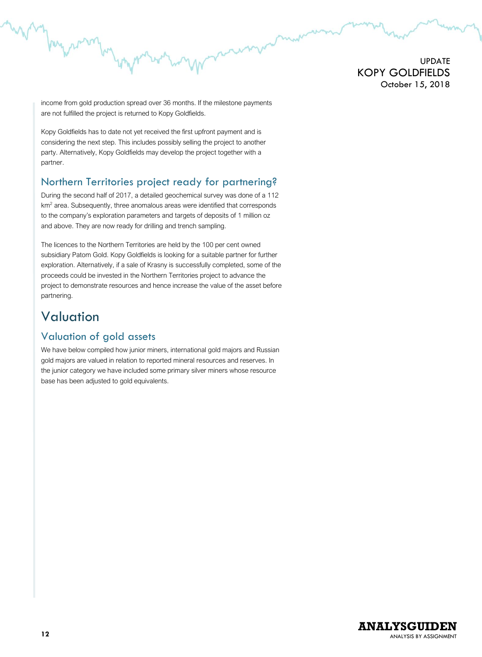income from gold production spread over 36 months. If the milestone payments are not fulfilled the project is returned to Kopy Goldfields.

Kopy Goldfields has to date not yet received the first upfront payment and is considering the next step. This includes possibly selling the project to another party. Alternatively, Kopy Goldfields may develop the project together with a partner.

## <span id="page-12-0"></span>Northern Territories project ready for partnering?

During the second half of 2017, a detailed geochemical survey was done of a 112 km<sup>2</sup> area. Subsequently, three anomalous areas were identified that corresponds to the company's exploration parameters and targets of deposits of 1 million oz and above. They are now ready for drilling and trench sampling.

The licences to the Northern Territories are held by the 100 per cent owned subsidiary Patom Gold. Kopy Goldfields is looking for a suitable partner for further exploration. Alternatively, if a sale of Krasny is successfully completed, some of the proceeds could be invested in the Northern Territories project to advance the project to demonstrate resources and hence increase the value of the asset before partnering.

# <span id="page-12-1"></span>Valuation

berg 2

## <span id="page-12-2"></span>Valuation of gold assets

We have below compiled how junior miners, international gold majors and Russian gold majors are valued in relation to reported mineral resources and reserves. In the junior category we have included some primary silver miners whose resource base has been adjusted to gold equivalents.

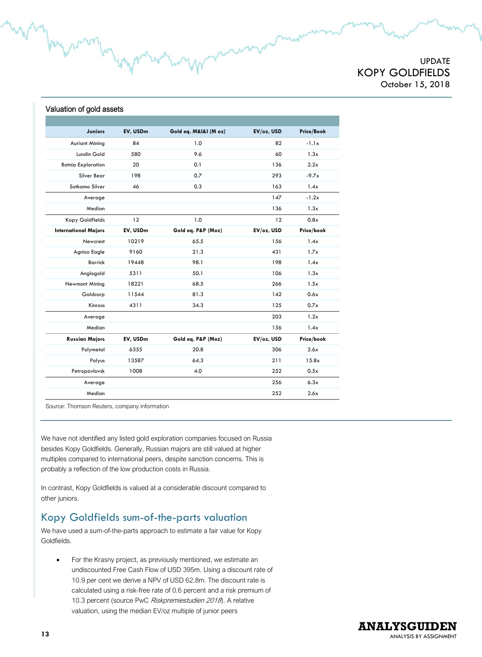#### Valuation of gold assets

per 2

| <b>Juniors</b>              | EV, USDm | Gold eq. M&I&I (M oz) | EV/oz, USD | Price/Book |
|-----------------------------|----------|-----------------------|------------|------------|
| <b>Auriant Mining</b>       | 84       | 1.0                   | 82         | $-1.1x$    |
| Lundin Gold                 | 580      | 9.6                   | 60         | 1.3x       |
| <b>Botnia Exploration</b>   | 20       | 0.1                   | 136        | 2.2x       |
| Silver Bear                 | 198      | 0.7                   | 293        | $-9.7x$    |
| Sotkamo Silver              | 46       | 0.3                   | 163        | 1.4x       |
| Average                     |          |                       | 147        | $-1.2x$    |
| Median                      |          |                       | 136        | 1.3x       |
| Kopy Goldfields             | 12       | 1.0                   | 12         | 0.8x       |
| <b>International Majors</b> | EV, USDm | Gold eq. P&P (Moz)    | EV/oz, USD | Price/book |
| Newcrest                    | 10219    | 65.5                  | 1.56       | 1.4x       |
| Agnico Eagle                | 9160     | 21.3                  | 431        | 1.7x       |
| <b>Barrick</b>              | 19448    | 98.1                  | 198        | 1.4x       |
| Anglogold                   | 5311     | 50.1                  | 106        | 1.3x       |
| Newmont Mining              | 18221    | 68.5                  | 266        | 1.5x       |
| Goldcorp                    | 11544    | 81.3                  | 142        | 0.6x       |
| Kinross                     | 4311     | 34.3                  | 125        | 0.7x       |
| Average                     |          |                       | 203        | 1.2x       |
| Median                      |          |                       | 156        | 1.4x       |
| <b>Russian Majors</b>       | EV, USDm | Gold eq. P&P (Moz)    | EV/oz, USD | Price/book |
| Polymetal                   | 6355     | 20.8                  | 306        | 2.6x       |
| Polyus                      | 13587    | 64.3                  | 211        | 15.8x      |
| Petropavlovsk               | 1008     | 4.0                   | 252        | 0.5x       |
| Average                     |          |                       | 256        | 6.3x       |
| Median                      |          |                       | 252        | 2.6x       |

Source: Thomson Reuters, company information

We have not identified any listed gold exploration companies focused on Russia besides Kopy Goldfields. Generally, Russian majors are still valued at higher multiples compared to international peers, despite sanction concerns. This is probably a reflection of the low production costs in Russia.

In contrast, Kopy Goldfields is valued at a considerable discount compared to other juniors.

## <span id="page-13-0"></span>Kopy Goldfields sum-of-the-parts valuation

We have used a sum-of-the-parts approach to estimate a fair value for Kopy Goldfields.

• For the Krasny project, as previously mentioned, we estimate an undiscounted Free Cash Flow of USD 395m. Using a discount rate of 10.9 per cent we derive a NPV of USD 62.8m. The discount rate is calculated using a risk-free rate of 0.6 percent and a risk premium of 10.3 percent (source PwC Riskpremiestudien 2018). A relative valuation, using the median EV/oz multiple of junior peers

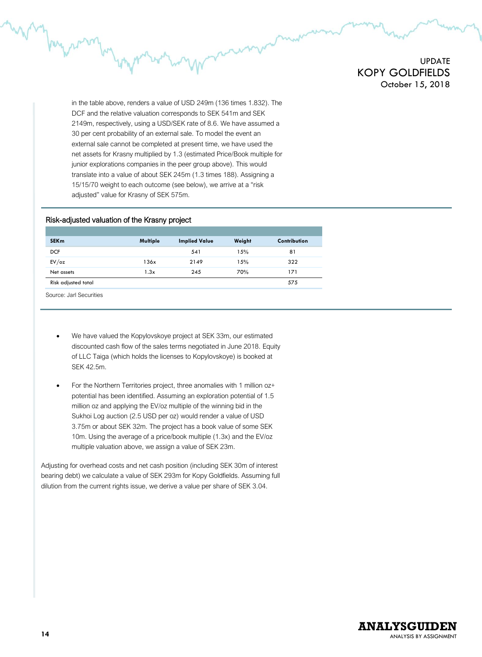in the table above, renders a value of USD 249m (136 times 1.832). The DCF and the relative valuation corresponds to SEK 541m and SEK 2149m, respectively, using a USD/SEK rate of 8.6. We have assumed a 30 per cent probability of an external sale. To model the event an external sale cannot be completed at present time, we have used the net assets for Krasny multiplied by 1.3 (estimated Price/Book multiple for junior explorations companies in the peer group above). This would translate into a value of about SEK 245m (1.3 times 188). Assigning a 15/15/70 weight to each outcome (see below), we arrive at a "risk adjusted" value for Krasny of SEK 575m.

#### Risk-adjusted valuation of the Krasny project

| <b>SEKm</b>         | Multiple | <b>Implied Value</b> | Weight | Contribution |
|---------------------|----------|----------------------|--------|--------------|
| <b>DCF</b>          |          | 541                  | 15%    | 81           |
| EV/oz               | 136x     | 2149                 | 15%    | 322          |
| Net assets          | 1.3x     | 245                  | 70%    | 171          |
| Risk adjusted total |          |                      |        | 575          |
|                     |          |                      |        |              |

Source: Jarl Securities

- We have valued the Kopylovskoye project at SEK 33m, our estimated discounted cash flow of the sales terms negotiated in June 2018. Equity of LLC Taiga (which holds the licenses to Kopylovskoye) is booked at SEK 42.5m.
- For the Northern Territories project, three anomalies with 1 million oz+ potential has been identified. Assuming an exploration potential of 1.5 million oz and applying the EV/oz multiple of the winning bid in the Sukhoi Log auction (2.5 USD per oz) would render a value of USD 3.75m or about SEK 32m. The project has a book value of some SEK 10m. Using the average of a price/book multiple (1.3x) and the EV/oz multiple valuation above, we assign a value of SEK 23m.

Adjusting for overhead costs and net cash position (including SEK 30m of interest bearing debt) we calculate a value of SEK 293m for Kopy Goldfields. Assuming full dilution from the current rights issue, we derive a value per share of SEK 3.04.

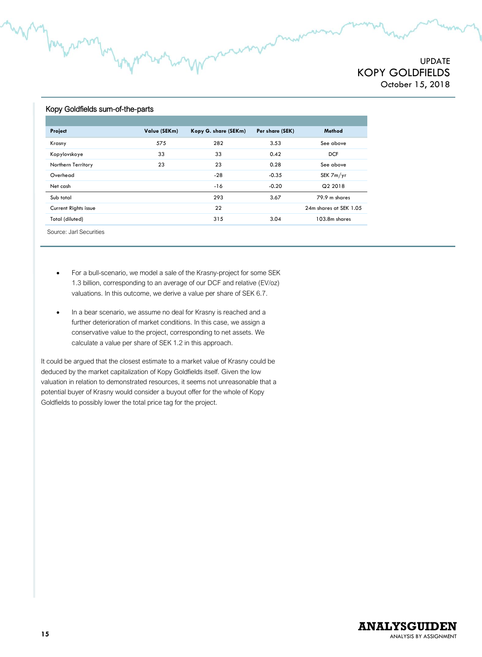#### Kopy Goldfields sum-of-the-parts

| Project                 | Value (SEKm) | Kopy G. share (SEKm) | Per share (SEK) | Method                 |
|-------------------------|--------------|----------------------|-----------------|------------------------|
| Krasny                  | 575          | 282                  | 3.53            | See above              |
| Kopylovskoye            | 33           | 33                   | 0.42            | <b>DCF</b>             |
| Northern Territory      | 23           | 23                   | 0.28            | See above              |
| Overhead                |              | $-28$                | $-0.35$         | SEK 7m/yr              |
| Net cash                |              | $-16$                | $-0.20$         | Q2 2018                |
| Sub total               |              | 293                  | 3.67            | 79.9 m shares          |
| Current Rights issue    |              | 22                   |                 | 24m shares at SEK 1.05 |
| Total (diluted)         |              | 315                  | 3.04            | 103.8m shares          |
| Source: Jarl Securities |              |                      |                 |                        |

- For a bull-scenario, we model a sale of the Krasny-project for some SEK 1.3 billion, corresponding to an average of our DCF and relative (EV/oz) valuations. In this outcome, we derive a value per share of SEK 6.7.
- In a bear scenario, we assume no deal for Krasny is reached and a further deterioration of market conditions. In this case, we assign a conservative value to the project, corresponding to net assets. We calculate a value per share of SEK 1.2 in this approach.

It could be argued that the closest estimate to a market value of Krasny could be deduced by the market capitalization of Kopy Goldfields itself. Given the low valuation in relation to demonstrated resources, it seems not unreasonable that a potential buyer of Krasny would consider a buyout offer for the whole of Kopy Goldfields to possibly lower the total price tag for the project.